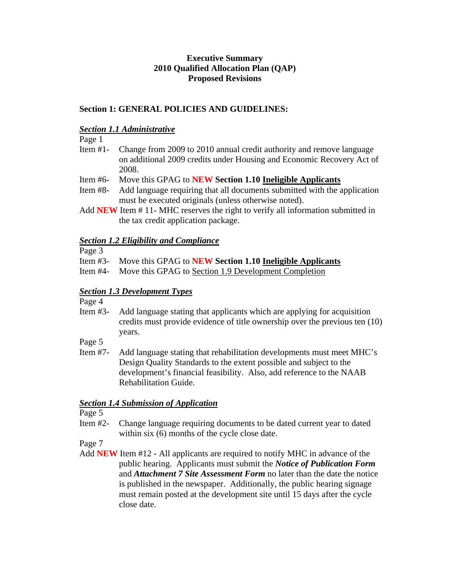# **Executive Summary 2010 Qualified Allocation Plan (QAP) Proposed Revisions**

# **Section 1: GENERAL POLICIES AND GUIDELINES:**

#### *Section 1.1 Administrative*

Page 1

- Item #1- Change from 2009 to 2010 annual credit authority and remove language on additional 2009 credits under Housing and Economic Recovery Act of 2008.
- Item #6- Move this GPAG to **NEW Section 1.10 Ineligible Applicants**
- Item #8- Add language requiring that all documents submitted with the application must be executed originals (unless otherwise noted).
- Add **NEW** Item # 11- MHC reserves the right to verify all information submitted in the tax credit application package.

## *Section 1.2 Eligibility and Compliance*

- Page 3
- Item #3- Move this GPAG to **NEW Section 1.10 Ineligible Applicants**
- Item #4- Move this GPAG to Section 1.9 Development Completion

### *Section 1.3 Development Types*

Page 4

- Item #3- Add language stating that applicants which are applying for acquisition credits must provide evidence of title ownership over the previous ten (10) years.
- Page 5
- Item #7- Add language stating that rehabilitation developments must meet MHC's Design Quality Standards to the extent possible and subject to the development's financial feasibility. Also, add reference to the NAAB Rehabilitation Guide.

### *Section 1.4 Submission of Application*

Page 5

Item #2- Change language requiring documents to be dated current year to dated within six (6) months of the cycle close date.

Page 7

Add **NEW** Item #12 - All applicants are required to notify MHC in advance of the public hearing. Applicants must submit the *Notice of Publication Form* and *Attachment 7 Site Assessment Form* no later than the date the notice is published in the newspaper. Additionally, the public hearing signage must remain posted at the development site until 15 days after the cycle close date.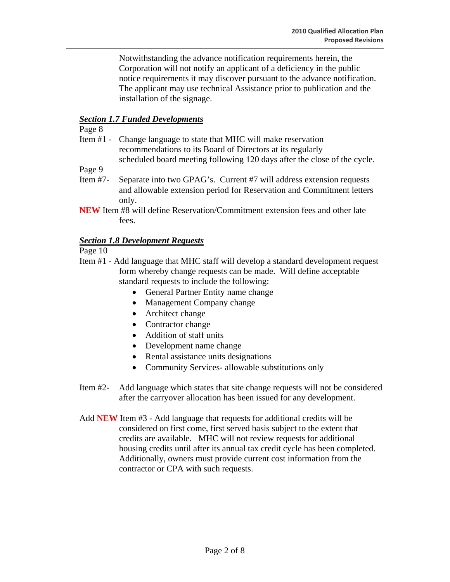Notwithstanding the advance notification requirements herein, the Corporation will not notify an applicant of a deficiency in the public notice requirements it may discover pursuant to the advance notification. The applicant may use technical Assistance prior to publication and the installation of the signage.

## *Section 1.7 Funded Developments*

Page 8

Item #1 - Change language to state that MHC will make reservation recommendations to its Board of Directors at its regularly scheduled board meeting following 120 days after the close of the cycle.

Page 9

- Item #7- Separate into two GPAG's. Current #7 will address extension requests and allowable extension period for Reservation and Commitment letters only.
- **NEW** Item #8 will define Reservation/Commitment extension fees and other late fees.

### *Section 1.8 Development Requests*

Page 10

- Item #1 Add language that MHC staff will develop a standard development request form whereby change requests can be made. Will define acceptable standard requests to include the following:
	- General Partner Entity name change
	- Management Company change
	- Architect change
	- Contractor change
	- Addition of staff units
	- Development name change
	- Rental assistance units designations
	- Community Services- allowable substitutions only
- Item #2- Add language which states that site change requests will not be considered after the carryover allocation has been issued for any development.
- Add **NEW** Item #3 Add language that requests for additional credits will be considered on first come, first served basis subject to the extent that credits are available. MHC will not review requests for additional housing credits until after its annual tax credit cycle has been completed. Additionally, owners must provide current cost information from the contractor or CPA with such requests.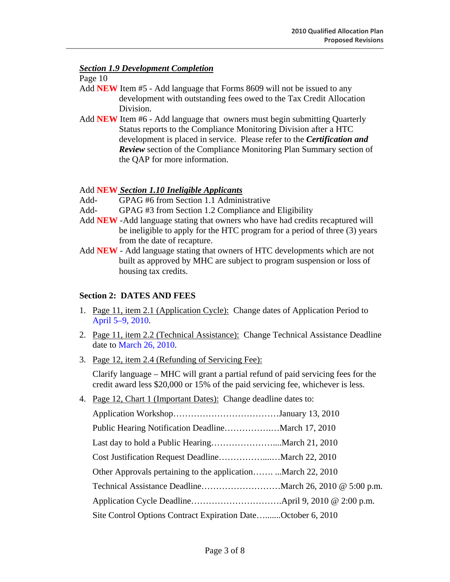## *Section 1.9 Development Completion*

Page 10

- Add **NEW** Item #5 Add language that Forms 8609 will not be issued to any development with outstanding fees owed to the Tax Credit Allocation Division.
- Add **NEW** Item #6 Add language that owners must begin submitting Quarterly Status reports to the Compliance Monitoring Division after a HTC development is placed in service. Please refer to the *Certification and Review* section of the Compliance Monitoring Plan Summary section of the QAP for more information.

## Add **NEW** *Section 1.10 Ineligible Applicants*

- Add- GPAG #6 from Section 1.1 Administrative
- Add- GPAG #3 from Section 1.2 Compliance and Eligibility
- Add **NEW** -Add language stating that owners who have had credits recaptured will be ineligible to apply for the HTC program for a period of three (3) years from the date of recapture.
- Add **NEW** Add language stating that owners of HTC developments which are not built as approved by MHC are subject to program suspension or loss of housing tax credits.

# **Section 2: DATES AND FEES**

- 1. Page 11, item 2.1 (Application Cycle): Change dates of Application Period to April 5–9, 2010.
- 2. Page 11, item 2.2 (Technical Assistance): Change Technical Assistance Deadline date to March 26, 2010.
- 3. Page 12, item 2.4 (Refunding of Servicing Fee):

Clarify language – MHC will grant a partial refund of paid servicing fees for the credit award less \$20,000 or 15% of the paid servicing fee, whichever is less.

4. Page 12, Chart 1 (Important Dates): Change deadline dates to:

| Site Control Options Contract Expiration DateOctober 6, 2010 |  |
|--------------------------------------------------------------|--|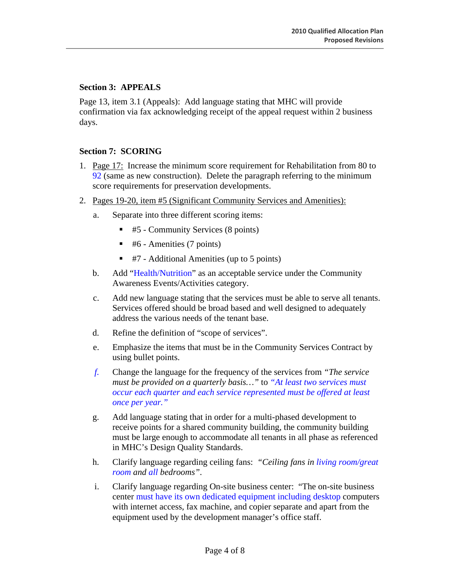## **Section 3: APPEALS**

Page 13, item 3.1 (Appeals): Add language stating that MHC will provide confirmation via fax acknowledging receipt of the appeal request within 2 business days.

### **Section 7: SCORING**

- 1. Page 17: Increase the minimum score requirement for Rehabilitation from 80 to 92 (same as new construction). Delete the paragraph referring to the minimum score requirements for preservation developments.
- 2. Pages 19-20, item #5 (Significant Community Services and Amenities):
	- a. Separate into three different scoring items:
		- $\blacksquare$  #5 Community Services (8 points)
		- #6 Amenities (7 points)
		- $\blacksquare$  #7 Additional Amenities (up to 5 points)
	- b. Add "Health/Nutrition" as an acceptable service under the Community Awareness Events/Activities category.
	- c. Add new language stating that the services must be able to serve all tenants. Services offered should be broad based and well designed to adequately address the various needs of the tenant base.
	- d. Refine the definition of "scope of services".
	- e. Emphasize the items that must be in the Community Services Contract by using bullet points.
	- *f.* Change the language for the frequency of the services from *"The service must be provided on a quarterly basis…"* to *"At least two services must occur each quarter and each service represented must be offered at least once per year."*
	- g. Add language stating that in order for a multi-phased development to receive points for a shared community building, the community building must be large enough to accommodate all tenants in all phase as referenced in MHC's Design Quality Standards.
	- h. Clarify language regarding ceiling fans: *"Ceiling fans in living room/great room and all bedrooms"*.
	- i. Clarify language regarding On-site business center: "The on-site business center must have its own dedicated equipment including desktop computers with internet access, fax machine, and copier separate and apart from the equipment used by the development manager's office staff.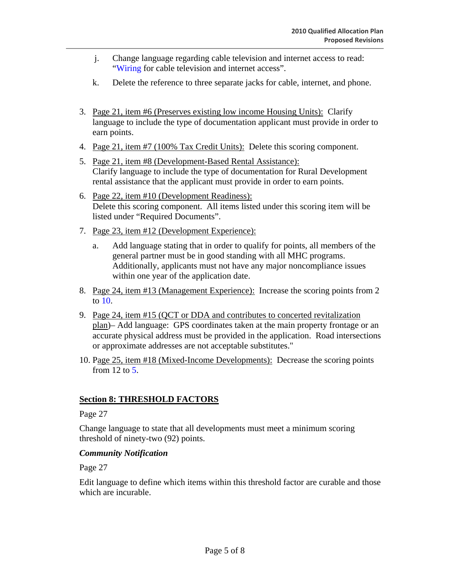- j. Change language regarding cable television and internet access to read: "Wiring for cable television and internet access".
- k. Delete the reference to three separate jacks for cable, internet, and phone.
- 3. Page 21, item #6 (Preserves existing low income Housing Units): Clarify language to include the type of documentation applicant must provide in order to earn points.
- 4. Page 21, item #7 (100% Tax Credit Units): Delete this scoring component.
- 5. Page 21, item #8 (Development-Based Rental Assistance): Clarify language to include the type of documentation for Rural Development rental assistance that the applicant must provide in order to earn points.
- 6. Page 22, item #10 (Development Readiness): Delete this scoring component. All items listed under this scoring item will be listed under "Required Documents".
- 7. Page 23, item #12 (Development Experience):
	- a. Add language stating that in order to qualify for points, all members of the general partner must be in good standing with all MHC programs. Additionally, applicants must not have any major noncompliance issues within one year of the application date.
- 8. Page 24, item #13 (Management Experience): Increase the scoring points from 2 to 10.
- 9. Page 24, item #15 (QCT or DDA and contributes to concerted revitalization plan)– Add language: GPS coordinates taken at the main property frontage or an accurate physical address must be provided in the application. Road intersections or approximate addresses are not acceptable substitutes."
- 10. Page 25, item #18 (Mixed-Income Developments): Decrease the scoring points from 12 to 5.

# **Section 8: THRESHOLD FACTORS**

Page 27

Change language to state that all developments must meet a minimum scoring threshold of ninety-two (92) points.

### *Community Notification*

Page 27

Edit language to define which items within this threshold factor are curable and those which are incurable.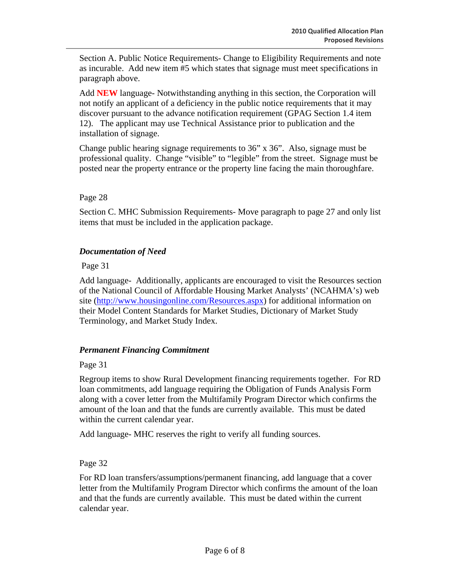Section A. Public Notice Requirements- Change to Eligibility Requirements and note as incurable. Add new item #5 which states that signage must meet specifications in paragraph above.

Add **NEW** language- Notwithstanding anything in this section, the Corporation will not notify an applicant of a deficiency in the public notice requirements that it may discover pursuant to the advance notification requirement (GPAG Section 1.4 item 12). The applicant may use Technical Assistance prior to publication and the installation of signage.

Change public hearing signage requirements to 36" x 36". Also, signage must be professional quality. Change "visible" to "legible" from the street. Signage must be posted near the property entrance or the property line facing the main thoroughfare.

## Page 28

Section C. MHC Submission Requirements- Move paragraph to page 27 and only list items that must be included in the application package.

## *Documentation of Need*

Page 31

Add language- Additionally, applicants are encouraged to visit the Resources section of the National Council of Affordable Housing Market Analysts' (NCAHMA's) web site (http://www.housingonline.com/Resources.aspx) for additional information on their Model Content Standards for Market Studies, Dictionary of Market Study Terminology, and Market Study Index.

# *Permanent Financing Commitment*

Page 31

Regroup items to show Rural Development financing requirements together. For RD loan commitments, add language requiring the Obligation of Funds Analysis Form along with a cover letter from the Multifamily Program Director which confirms the amount of the loan and that the funds are currently available. This must be dated within the current calendar year.

Add language- MHC reserves the right to verify all funding sources.

Page 32

For RD loan transfers/assumptions/permanent financing, add language that a cover letter from the Multifamily Program Director which confirms the amount of the loan and that the funds are currently available. This must be dated within the current calendar year.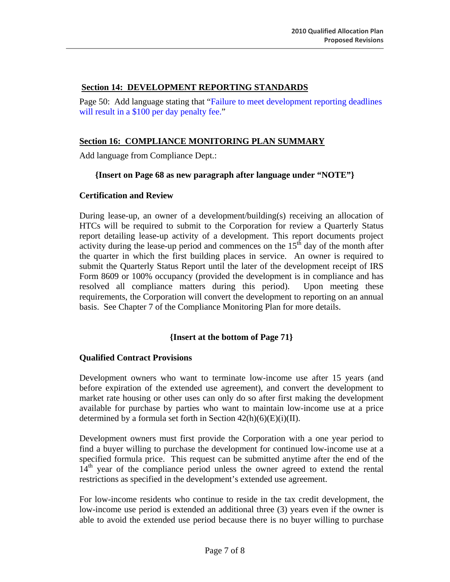## **Section 14: DEVELOPMENT REPORTING STANDARDS**

Page 50: Add language stating that "Failure to meet development reporting deadlines will result in a \$100 per day penalty fee."

# **Section 16: COMPLIANCE MONITORING PLAN SUMMARY**

Add language from Compliance Dept.:

### **{Insert on Page 68 as new paragraph after language under "NOTE"}**

### **Certification and Review**

During lease-up, an owner of a development/building(s) receiving an allocation of HTCs will be required to submit to the Corporation for review a Quarterly Status report detailing lease-up activity of a development. This report documents project activity during the lease-up period and commences on the  $15<sup>th</sup>$  day of the month after the quarter in which the first building places in service. An owner is required to submit the Quarterly Status Report until the later of the development receipt of IRS Form 8609 or 100% occupancy (provided the development is in compliance and has resolved all compliance matters during this period). Upon meeting these requirements, the Corporation will convert the development to reporting on an annual basis. See Chapter 7 of the Compliance Monitoring Plan for more details.

### **{Insert at the bottom of Page 71}**

### **Qualified Contract Provisions**

Development owners who want to terminate low-income use after 15 years (and before expiration of the extended use agreement), and convert the development to market rate housing or other uses can only do so after first making the development available for purchase by parties who want to maintain low-income use at a price determined by a formula set forth in Section  $42(h)(6)(E)(i)(II)$ .

Development owners must first provide the Corporation with a one year period to find a buyer willing to purchase the development for continued low-income use at a specified formula price. This request can be submitted anytime after the end of the  $14<sup>th</sup>$  year of the compliance period unless the owner agreed to extend the rental restrictions as specified in the development's extended use agreement.

For low-income residents who continue to reside in the tax credit development, the low-income use period is extended an additional three (3) years even if the owner is able to avoid the extended use period because there is no buyer willing to purchase